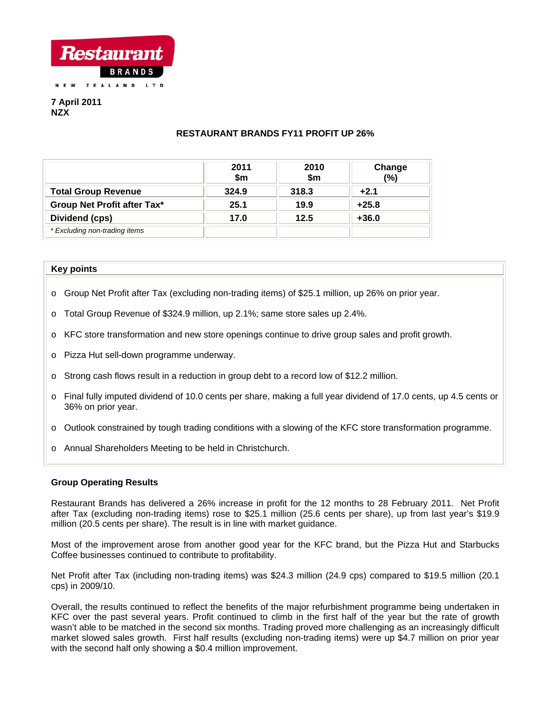

**7 April 2011 NZX** 

# **RESTAURANT BRANDS FY11 PROFIT UP 26%**

|                               | 2011<br>\$m | 2010<br>\$m\$ | Change<br>(%) |
|-------------------------------|-------------|---------------|---------------|
| <b>Total Group Revenue</b>    | 324.9       | 318.3         | $+2.1$        |
| Group Net Profit after Tax*   | 25.1        | 19.9          | $+25.8$       |
| Dividend (cps)                | 17.0        | 12.5          | $+36.0$       |
| * Excluding non-trading items |             |               |               |

## **Key points**

- o Group Net Profit after Tax (excluding non-trading items) of \$25.1 million, up 26% on prior year.
- o Total Group Revenue of \$324.9 million, up 2.1%; same store sales up 2.4%.
- o KFC store transformation and new store openings continue to drive group sales and profit growth.
- o Pizza Hut sell-down programme underway.
- $\circ$  Strong cash flows result in a reduction in group debt to a record low of \$12.2 million.
- o Final fully imputed dividend of 10.0 cents per share, making a full year dividend of 17.0 cents, up 4.5 cents or 36% on prior year.
- o Outlook constrained by tough trading conditions with a slowing of the KFC store transformation programme.
- o Annual Shareholders Meeting to be held in Christchurch.

# **Group Operating Results**

Restaurant Brands has delivered a 26% increase in profit for the 12 months to 28 February 2011. Net Profit after Tax (excluding non-trading items) rose to \$25.1 million (25.6 cents per share), up from last year's \$19.9 million (20.5 cents per share). The result is in line with market guidance.

Most of the improvement arose from another good year for the KFC brand, but the Pizza Hut and Starbucks Coffee businesses continued to contribute to profitability.

Net Profit after Tax (including non-trading items) was \$24.3 million (24.9 cps) compared to \$19.5 million (20.1 cps) in 2009/10.

Overall, the results continued to reflect the benefits of the major refurbishment programme being undertaken in KFC over the past several years. Profit continued to climb in the first half of the year but the rate of growth wasn't able to be matched in the second six months. Trading proved more challenging as an increasingly difficult market slowed sales growth. First half results (excluding non-trading items) were up \$4.7 million on prior year with the second half only showing a \$0.4 million improvement.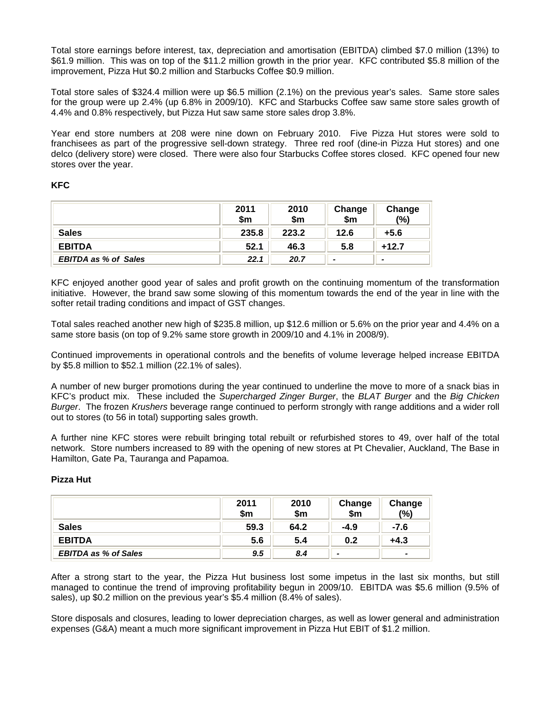Total store earnings before interest, tax, depreciation and amortisation (EBITDA) climbed \$7.0 million (13%) to \$61.9 million. This was on top of the \$11.2 million growth in the prior year. KFC contributed \$5.8 million of the improvement, Pizza Hut \$0.2 million and Starbucks Coffee \$0.9 million.

Total store sales of \$324.4 million were up \$6.5 million (2.1%) on the previous year's sales. Same store sales for the group were up 2.4% (up 6.8% in 2009/10). KFC and Starbucks Coffee saw same store sales growth of 4.4% and 0.8% respectively, but Pizza Hut saw same store sales drop 3.8%.

Year end store numbers at 208 were nine down on February 2010. Five Pizza Hut stores were sold to franchisees as part of the progressive sell-down strategy. Three red roof (dine-in Pizza Hut stores) and one delco (delivery store) were closed. There were also four Starbucks Coffee stores closed. KFC opened four new stores over the year.

# **KFC**

|                             | 2011<br>\$m | 2010<br>\$m\$ | Change<br>\$m | Change<br>(%) |
|-----------------------------|-------------|---------------|---------------|---------------|
| <b>Sales</b>                | 235.8       | 223.2         | 12.6          | $+5.6$        |
| <b>EBITDA</b>               | 52.1        | 46.3          | 5.8           | $+12.7$       |
| <b>EBITDA as % of Sales</b> | 22.1        | 20.7          |               | -             |

KFC enjoyed another good year of sales and profit growth on the continuing momentum of the transformation initiative. However, the brand saw some slowing of this momentum towards the end of the year in line with the softer retail trading conditions and impact of GST changes.

Total sales reached another new high of \$235.8 million, up \$12.6 million or 5.6% on the prior year and 4.4% on a same store basis (on top of 9.2% same store growth in 2009/10 and 4.1% in 2008/9).

Continued improvements in operational controls and the benefits of volume leverage helped increase EBITDA by \$5.8 million to \$52.1 million (22.1% of sales).

A number of new burger promotions during the year continued to underline the move to more of a snack bias in KFC's product mix. These included the *Supercharged Zinger Burger*, the *BLAT Burger* and the *Big Chicken Burger*. The frozen *Krushers* beverage range continued to perform strongly with range additions and a wider roll out to stores (to 56 in total) supporting sales growth.

A further nine KFC stores were rebuilt bringing total rebuilt or refurbished stores to 49, over half of the total network. Store numbers increased to 89 with the opening of new stores at Pt Chevalier, Auckland, The Base in Hamilton, Gate Pa, Tauranga and Papamoa.

# **Pizza Hut**

|                             | 2011<br>\$m | 2010<br>\$m | Change<br>\$m            | Change<br>(%)            |
|-----------------------------|-------------|-------------|--------------------------|--------------------------|
| <b>Sales</b>                | 59.3        | 64.2        | $-4.9$                   | -7.6                     |
| <b>EBITDA</b>               | 5.6         | 5.4         | 0.2                      | $+4.3$                   |
| <b>EBITDA as % of Sales</b> | 9.5         | 8.4         | $\overline{\phantom{a}}$ | $\overline{\phantom{0}}$ |

After a strong start to the year, the Pizza Hut business lost some impetus in the last six months, but still managed to continue the trend of improving profitability begun in 2009/10. EBITDA was \$5.6 million (9.5% of sales), up \$0.2 million on the previous year's \$5.4 million (8.4% of sales).

Store disposals and closures, leading to lower depreciation charges, as well as lower general and administration expenses (G&A) meant a much more significant improvement in Pizza Hut EBIT of \$1.2 million.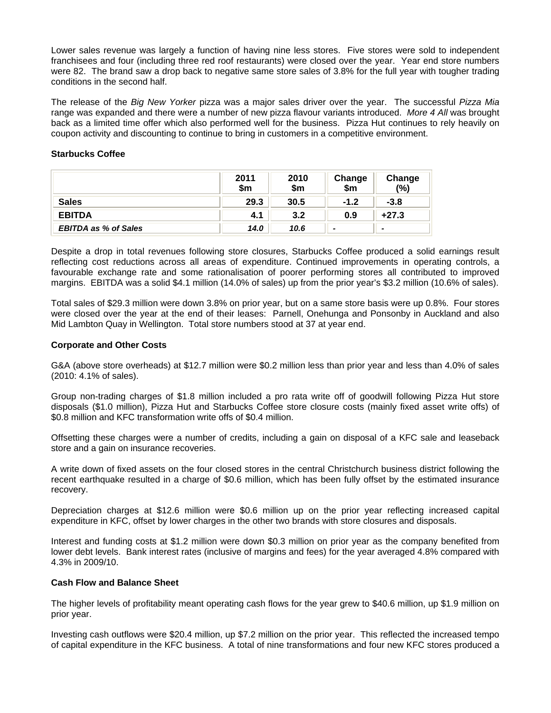Lower sales revenue was largely a function of having nine less stores. Five stores were sold to independent franchisees and four (including three red roof restaurants) were closed over the year. Year end store numbers were 82. The brand saw a drop back to negative same store sales of 3.8% for the full year with tougher trading conditions in the second half.

The release of the *Big New Yorker* pizza was a major sales driver over the year. The successful *Pizza Mia* range was expanded and there were a number of new pizza flavour variants introduced. *More 4 All* was brought back as a limited time offer which also performed well for the business. Pizza Hut continues to rely heavily on coupon activity and discounting to continue to bring in customers in a competitive environment.

## **Starbucks Coffee**

|                             | 2011<br>\$m | 2010<br>\$m | Change<br>\$m | Change<br>(%)            |
|-----------------------------|-------------|-------------|---------------|--------------------------|
| <b>Sales</b>                | 29.3        | 30.5        | $-1.2$        | $-3.8$                   |
| <b>EBITDA</b>               | 4.1         | 3.2         | 0.9           | $+27.3$                  |
| <b>EBITDA as % of Sales</b> | 14.0        | 10.6        |               | $\overline{\phantom{0}}$ |

Despite a drop in total revenues following store closures, Starbucks Coffee produced a solid earnings result reflecting cost reductions across all areas of expenditure. Continued improvements in operating controls, a favourable exchange rate and some rationalisation of poorer performing stores all contributed to improved margins. EBITDA was a solid \$4.1 million (14.0% of sales) up from the prior year's \$3.2 million (10.6% of sales).

Total sales of \$29.3 million were down 3.8% on prior year, but on a same store basis were up 0.8%. Four stores were closed over the year at the end of their leases: Parnell, Onehunga and Ponsonby in Auckland and also Mid Lambton Quay in Wellington. Total store numbers stood at 37 at year end.

### **Corporate and Other Costs**

G&A (above store overheads) at \$12.7 million were \$0.2 million less than prior year and less than 4.0% of sales (2010: 4.1% of sales).

Group non-trading charges of \$1.8 million included a pro rata write off of goodwill following Pizza Hut store disposals (\$1.0 million), Pizza Hut and Starbucks Coffee store closure costs (mainly fixed asset write offs) of \$0.8 million and KFC transformation write offs of \$0.4 million.

Offsetting these charges were a number of credits, including a gain on disposal of a KFC sale and leaseback store and a gain on insurance recoveries.

A write down of fixed assets on the four closed stores in the central Christchurch business district following the recent earthquake resulted in a charge of \$0.6 million, which has been fully offset by the estimated insurance recovery.

Depreciation charges at \$12.6 million were \$0.6 million up on the prior year reflecting increased capital expenditure in KFC, offset by lower charges in the other two brands with store closures and disposals.

Interest and funding costs at \$1.2 million were down \$0.3 million on prior year as the company benefited from lower debt levels. Bank interest rates (inclusive of margins and fees) for the year averaged 4.8% compared with 4.3% in 2009/10.

### **Cash Flow and Balance Sheet**

The higher levels of profitability meant operating cash flows for the year grew to \$40.6 million, up \$1.9 million on prior year.

Investing cash outflows were \$20.4 million, up \$7.2 million on the prior year. This reflected the increased tempo of capital expenditure in the KFC business. A total of nine transformations and four new KFC stores produced a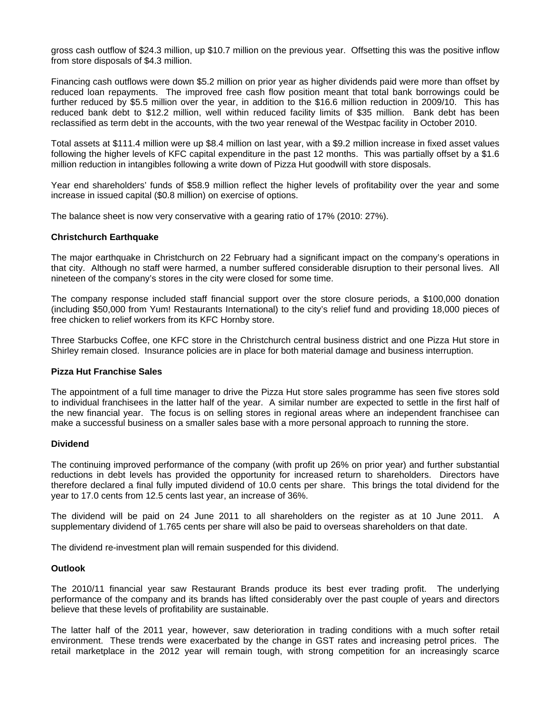gross cash outflow of \$24.3 million, up \$10.7 million on the previous year. Offsetting this was the positive inflow from store disposals of \$4.3 million.

Financing cash outflows were down \$5.2 million on prior year as higher dividends paid were more than offset by reduced loan repayments. The improved free cash flow position meant that total bank borrowings could be further reduced by \$5.5 million over the year, in addition to the \$16.6 million reduction in 2009/10. This has reduced bank debt to \$12.2 million, well within reduced facility limits of \$35 million. Bank debt has been reclassified as term debt in the accounts, with the two year renewal of the Westpac facility in October 2010.

Total assets at \$111.4 million were up \$8.4 million on last year, with a \$9.2 million increase in fixed asset values following the higher levels of KFC capital expenditure in the past 12 months. This was partially offset by a \$1.6 million reduction in intangibles following a write down of Pizza Hut goodwill with store disposals.

Year end shareholders' funds of \$58.9 million reflect the higher levels of profitability over the year and some increase in issued capital (\$0.8 million) on exercise of options.

The balance sheet is now very conservative with a gearing ratio of 17% (2010: 27%).

### **Christchurch Earthquake**

The major earthquake in Christchurch on 22 February had a significant impact on the company's operations in that city. Although no staff were harmed, a number suffered considerable disruption to their personal lives. All nineteen of the company's stores in the city were closed for some time.

The company response included staff financial support over the store closure periods, a \$100,000 donation (including \$50,000 from Yum! Restaurants International) to the city's relief fund and providing 18,000 pieces of free chicken to relief workers from its KFC Hornby store.

Three Starbucks Coffee, one KFC store in the Christchurch central business district and one Pizza Hut store in Shirley remain closed. Insurance policies are in place for both material damage and business interruption.

#### **Pizza Hut Franchise Sales**

The appointment of a full time manager to drive the Pizza Hut store sales programme has seen five stores sold to individual franchisees in the latter half of the year. A similar number are expected to settle in the first half of the new financial year. The focus is on selling stores in regional areas where an independent franchisee can make a successful business on a smaller sales base with a more personal approach to running the store.

#### **Dividend**

The continuing improved performance of the company (with profit up 26% on prior year) and further substantial reductions in debt levels has provided the opportunity for increased return to shareholders. Directors have therefore declared a final fully imputed dividend of 10.0 cents per share. This brings the total dividend for the year to 17.0 cents from 12.5 cents last year, an increase of 36%.

The dividend will be paid on 24 June 2011 to all shareholders on the register as at 10 June 2011. A supplementary dividend of 1.765 cents per share will also be paid to overseas shareholders on that date.

The dividend re-investment plan will remain suspended for this dividend.

#### **Outlook**

The 2010/11 financial year saw Restaurant Brands produce its best ever trading profit. The underlying performance of the company and its brands has lifted considerably over the past couple of years and directors believe that these levels of profitability are sustainable.

The latter half of the 2011 year, however, saw deterioration in trading conditions with a much softer retail environment. These trends were exacerbated by the change in GST rates and increasing petrol prices. The retail marketplace in the 2012 year will remain tough, with strong competition for an increasingly scarce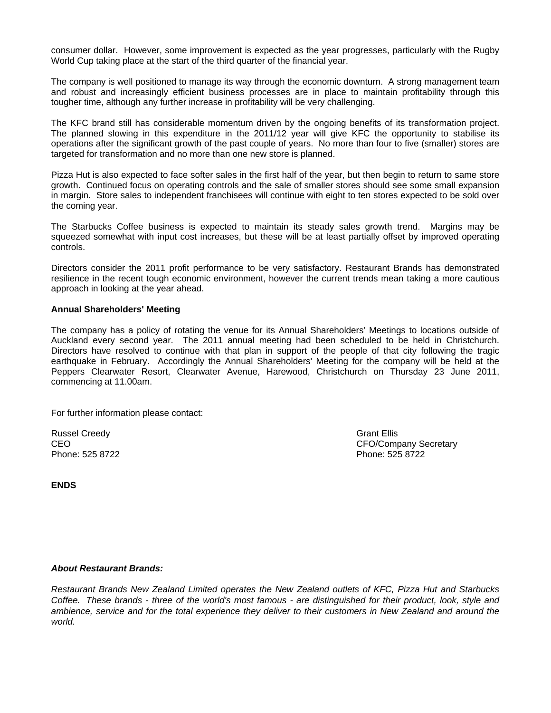consumer dollar. However, some improvement is expected as the year progresses, particularly with the Rugby World Cup taking place at the start of the third quarter of the financial year.

The company is well positioned to manage its way through the economic downturn. A strong management team and robust and increasingly efficient business processes are in place to maintain profitability through this tougher time, although any further increase in profitability will be very challenging.

The KFC brand still has considerable momentum driven by the ongoing benefits of its transformation project. The planned slowing in this expenditure in the 2011/12 year will give KFC the opportunity to stabilise its operations after the significant growth of the past couple of years. No more than four to five (smaller) stores are targeted for transformation and no more than one new store is planned.

Pizza Hut is also expected to face softer sales in the first half of the year, but then begin to return to same store growth. Continued focus on operating controls and the sale of smaller stores should see some small expansion in margin. Store sales to independent franchisees will continue with eight to ten stores expected to be sold over the coming year.

The Starbucks Coffee business is expected to maintain its steady sales growth trend. Margins may be squeezed somewhat with input cost increases, but these will be at least partially offset by improved operating controls.

Directors consider the 2011 profit performance to be very satisfactory. Restaurant Brands has demonstrated resilience in the recent tough economic environment, however the current trends mean taking a more cautious approach in looking at the year ahead.

### **Annual Shareholders' Meeting**

The company has a policy of rotating the venue for its Annual Shareholders' Meetings to locations outside of Auckland every second year. The 2011 annual meeting had been scheduled to be held in Christchurch. Directors have resolved to continue with that plan in support of the people of that city following the tragic earthquake in February. Accordingly the Annual Shareholders' Meeting for the company will be held at the Peppers Clearwater Resort, Clearwater Avenue, Harewood, Christchurch on Thursday 23 June 2011, commencing at 11.00am.

For further information please contact:

Russel Creedy Grant Ellis Phone: 525 8722 Phone: 525 8722

CEO CEO COMPANY Secretary CEO CEO COMPANY Secretary CEO

**ENDS** 

# *About Restaurant Brands:*

*Restaurant Brands New Zealand Limited operates the New Zealand outlets of KFC, Pizza Hut and Starbucks Coffee. These brands - three of the world's most famous - are distinguished for their product, look, style and ambience, service and for the total experience they deliver to their customers in New Zealand and around the world.*